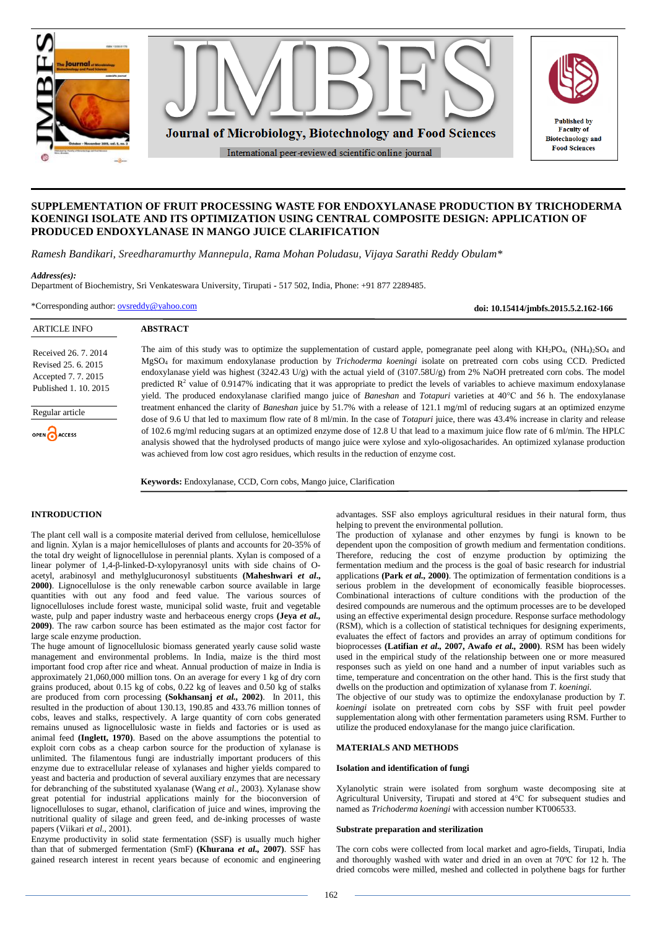

# **SUPPLEMENTATION OF FRUIT PROCESSING WASTE FOR ENDOXYLANASE PRODUCTION BY TRICHODERMA KOENINGI ISOLATE AND ITS OPTIMIZATION USING CENTRAL COMPOSITE DESIGN: APPLICATION OF PRODUCED ENDOXYLANASE IN MANGO JUICE CLARIFICATION**

*Ramesh Bandikari, Sreedharamurthy Mannepula, Rama Mohan Poludasu, Vijaya Sarathi Reddy Obulam\**

## *Address(es):*

Department of Biochemistry, Sri Venkateswara University, Tirupati **-** 517 502, India, Phone: +91 877 2289485.

\*Corresponding author: [ovsreddy@yahoo.com](mailto:ovsreddy@yahoo.com)

**doi: 10.15414/jmbfs.2015.5.2.162-166**

| <b>ARTICLE INFO</b>                                                                       | <b>ABSTRACT</b>                                                                                                                                                                                                                                                                                                                                                                                                                                                                                                                                                                                                                                                                                                                                    |
|-------------------------------------------------------------------------------------------|----------------------------------------------------------------------------------------------------------------------------------------------------------------------------------------------------------------------------------------------------------------------------------------------------------------------------------------------------------------------------------------------------------------------------------------------------------------------------------------------------------------------------------------------------------------------------------------------------------------------------------------------------------------------------------------------------------------------------------------------------|
| Received 26, 7, 2014<br>Revised 25, 6, 2015<br>Accepted 7.7.2015<br>Published 1, 10, 2015 | The aim of this study was to optimize the supplementation of custard apple, pomegranate peel along with $KH_2PO_4$ , $(NH_4)_2SO_4$ and<br>MgSO <sub>4</sub> for maximum endoxylanase production by Trichoderma koeningi isolate on pretreated corn cobs using CCD. Predicted<br>endoxylanase yield was highest $(3242.43 \text{ U/g})$ with the actual yield of $(3107.58 \text{U/g})$ from 2% NaOH pretreated corn cobs. The model<br>predicted $\mathbb{R}^2$ value of 0.9147% indicating that it was appropriate to predict the levels of variables to achieve maximum endoxylanase<br>yield. The produced endoxylanase clarified mango juice of <i>Baneshan</i> and <i>Totapuri</i> varieties at 40 <sup>o</sup> C and 56 h. The endoxylanase |
| Regular article<br>OPEN CACCESS                                                           | treatment enhanced the clarity of <i>Baneshan</i> juice by 51.7% with a release of 121.1 mg/ml of reducing sugars at an optimized enzyme<br>dose of 9.6 U that led to maximum flow rate of 8 ml/min. In the case of <i>Totapuri</i> juice, there was 43.4% increase in clarity and release<br>of 102.6 mg/ml reducing sugars at an optimized enzyme dose of 12.8 U that lead to a maximum juice flow rate of 6 ml/min. The HPLC<br>analysis showed that the hydrolysed products of mango juice were xylose and xylo-oligosacharides. An optimized xylanase production                                                                                                                                                                              |
|                                                                                           | was achieved from low cost agro residues, which results in the reduction of enzyme cost.                                                                                                                                                                                                                                                                                                                                                                                                                                                                                                                                                                                                                                                           |

**Keywords:** Endoxylanase, CCD, Corn cobs, Mango juice, Clarification

# **INTRODUCTION**

The plant cell wall is a composite material derived from cellulose, hemicellulose and lignin. Xylan is a major hemicelluloses of plants and accounts for 20-35% of the total dry weight of lignocellulose in perennial plants. Xylan is composed of a linear polymer of 1,4-β-linked-D-xylopyranosyl units with side chains of Oacetyl, arabinosyl and methylglucuronosyl substituents **(Maheshwari** *et al***., 2000)**. Lignocellulose is the only renewable carbon source available in large quantities with out any food and feed value. The various sources of lignocelluloses include forest waste, municipal solid waste, fruit and vegetable waste, pulp and paper industry waste and herbaceous energy crops **(Jeya** *et al.,* **2009)**. The raw carbon source has been estimated as the major cost factor for large scale enzyme production.

The huge amount of lignocellulosic biomass generated yearly cause solid waste management and environmental problems. In India, maize is the third most important food crop after rice and wheat. Annual production of maize in India is approximately 21,060,000 million tons. On an average for every 1 kg of dry corn grains produced, about 0.15 kg of cobs, 0.22 kg of leaves and 0.50 kg of stalks are produced from corn processing **(Sokhansanj** *et al.,* **2002)**. In 2011, this resulted in the production of about 130.13, 190.85 and 433.76 million tonnes of cobs, leaves and stalks, respectively. A large quantity of corn cobs generated remains unused as lignocellulosic waste in fields and factories or is used as animal feed **(Inglett, 1970)**. Based on the above assumptions the potential to exploit corn cobs as a cheap carbon source for the production of xylanase is unlimited. The filamentous fungi are industrially important producers of this enzyme due to extracellular release of xylanases and higher yields compared to yeast and bacteria and production of several auxiliary enzymes that are necessary for debranching of the substituted xyalanase (Wang *et al.,* 2003). Xylanase show great potential for industrial applications mainly for the bioconversion of lignocelluloses to sugar, ethanol, clarification of juice and wines, improving the nutritional quality of silage and green feed, and de-inking processes of waste papers (Viikari *et al.,* 2001).

Enzyme productivity in solid state fermentation (SSF) is usually much higher than that of submerged fermentation (SmF) **(Khurana** *et al.,* **2007)**. SSF has gained research interest in recent years because of economic and engineering

advantages. SSF also employs agricultural residues in their natural form, thus helping to prevent the environmental pollution.

The production of xylanase and other enzymes by fungi is known to be dependent upon the composition of growth medium and fermentation conditions. Therefore, reducing the cost of enzyme production by optimizing the fermentation medium and the process is the goal of basic research for industrial applications **(Park** *et al.,* **2000)**. The optimization of fermentation conditions is a serious problem in the development of economically feasible bioprocesses. Combinational interactions of culture conditions with the production of the desired compounds are numerous and the optimum processes are to be developed using an effective experimental design procedure. Response surface methodology (RSM), which is a collection of statistical techniques for designing experiments, evaluates the effect of factors and provides an array of optimum conditions for bioprocesses **(Latifian** *et al.,* **2007, Awafo** *et al.,* **2000)**. RSM has been widely used in the empirical study of the relationship between one or more measured responses such as yield on one hand and a number of input variables such as time, temperature and concentration on the other hand. This is the first study that dwells on the production and optimization of xylanase from *T. koeningi.*

The objective of our study was to optimize the endoxylanase production by *T. koeningi* isolate on pretreated corn cobs by SSF with fruit peel powder supplementation along with other fermentation parameters using RSM. Further to utilize the produced endoxylanase for the mango juice clarification.

## **MATERIALS AND METHODS**

# **Isolation and identification of fungi**

Xylanolytic strain were isolated from sorghum waste decomposing site at Agricultural University, Tirupati and stored at 4°C for subsequent studies and named as *Trichoderma koeningi* with accession number KT006533.

#### **Substrate preparation and sterilization**

The corn cobs were collected from local market and agro**-**fields, Tirupati, India and thoroughly washed with water and dried in an oven at 70ºC for 12 h. The dried corncobs were milled, meshed and collected in polythene bags for further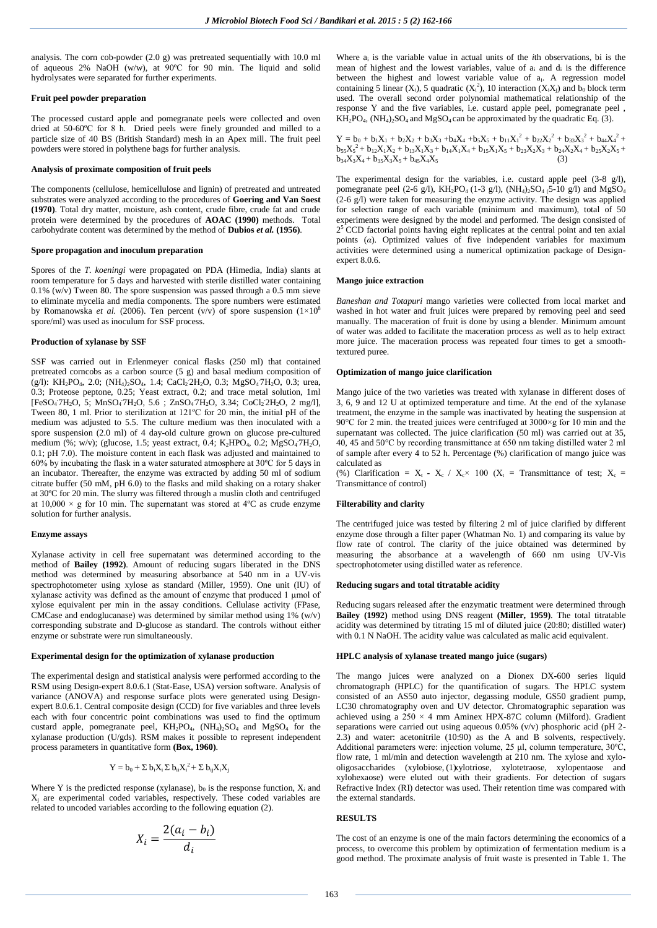analysis. The corn cob**-**powder (2.0 g) was pretreated sequentially with 10.0 ml of aqueous 2% NaOH (w/w), at 90ºC for 90 min. The liquid and solid hydrolysates were separated for further experiments.

### **Fruit peel powder preparation**

The processed custard apple and pomegranate peels were collected and oven dried at 50-60ºC for 8 h. Dried peels were finely grounded and milled to a particle size of 40 BS (British Standard) mesh in an Apex mill. The fruit peel powders were stored in polythene bags for further analysis.

#### **Analysis of proximate composition of fruit peels**

The components (cellulose, hemicellulose and lignin) of pretreated and untreated substrates were analyzed according to the procedures of **Goering and Van Soest (1970)**. Total dry matter, moisture, ash content, crude fibre, crude fat and crude protein were determined by the procedures of **AOAC (1990)** methods. Total carbohydrate content was determined by the method of **Dubios** *et al.* **(1956)**.

## **Spore propagation and inoculum preparation**

Spores of the *T. koeningi* were propagated on PDA (Himedia, India) slants at room temperature for 5 days and harvested with sterile distilled water containing 0.1% (w/v) Tween 80. The spore suspension was passed through a 0.5 mm sieve to eliminate mycelia and media components. The spore numbers were estimated by Romanowska *et al.* (2006). Ten percent (v/v) of spore suspension  $(1\times10^8)$ spore/ml) was used as inoculum for SSF process.

#### **Production of xylanase by SSF**

SSF was carried out in Erlenmeyer conical flasks (250 ml) that contained pretreated corncobs as a carbon source (5 g) and basal medium composition of (g/l): KH<sub>2</sub>PO<sub>4</sub>, 2.0; (NH<sub>4</sub>)<sub>2</sub>SO<sub>4</sub>, 1.4; CaCl<sub>2</sub> 2H<sub>2</sub>O, 0.3; MgSO<sub>4</sub>7H<sub>2</sub>O, 0.3; urea, 0.3; Proteose peptone, 0.25; Yeast extract, 0.2; and trace metal solution, 1ml [FeSO<sub>4</sub>7H<sub>2</sub>O, 5; MnSO<sub>4</sub>7H<sub>2</sub>O, 5.6; ZnSO<sub>4</sub>7H<sub>2</sub>O, 3.34; CoCl<sub>2</sub>2H<sub>2</sub>O, 2 mg/l], Tween 80, 1 ml. Prior to sterilization at 121ºC for 20 min, the initial pH of the medium was adjusted to 5.5. The culture medium was then inoculated with a spore suspension (2.0 ml) of 4 day**-**old culture grown on glucose pre**-**cultured medium  $(\%; w/v)$ ; (glucose, 1.5; yeast extract, 0.4; K<sub>2</sub>HPO<sub>4</sub>, 0.2; MgSO<sub>4</sub>7H<sub>2</sub>O, 0.1; pH 7.0). The moisture content in each flask was adjusted and maintained to 60% by incubating the flask in a water saturated atmosphere at 30ºC for 5 days in an incubator. Thereafter, the enzyme was extracted by adding 50 ml of sodium citrate buffer (50 mM, pH 6.0) to the flasks and mild shaking on a rotary shaker at 30ºC for 20 min. The slurry was filtered through a muslin cloth and centrifuged at  $10,000 \times g$  for 10 min. The supernatant was stored at 4°C as crude enzyme solution for further analysis.

## **Enzyme assays**

Xylanase activity in cell free supernatant was determined according to the method of **Bailey (1992)**. Amount of reducing sugars liberated in the DNS method was determined by measuring absorbance at 540 nm in a UV-vis spectrophotometer using xylose as standard (Miller, 1959). One unit (IU) of xylanase activity was defined as the amount of enzyme that produced 1 µmol of xylose equivalent per min in the assay conditions. Cellulase activity (FPase, CMCase and endoglucanase) was determined by similar method using 1% (w/v) corresponding substrate and D-glucose as standard. The controls without either enzyme or substrate were run simultaneously.

#### **Experimental design for the optimization of xylanase production**

The experimental design and statistical analysis were performed according to the RSM using Design**-**expert 8.0.6.1 (Stat**-**Ease, USA) version software. Analysis of variance (ANOVA) and response surface plots were generated using Designexpert 8.0.6.1. Central composite design (CCD) for five variables and three levels each with four concentric point combinations was used to find the optimum custard apple, pomegranate peel,  $KH_2PO_4$ ,  $(NH_4)_2SO_4$  and  $MgSO_4$  for the xylanase production (U/gds). RSM makes it possible to represent independent process parameters in quantitative form **(Box, 1960)**.

$$
Y = b_0 + \Sigma b_i X_i \Sigma b_{ii} X_i^2 + \Sigma b_{ij} X_i X_j
$$

Where Y is the predicted response (xylanase),  $b_0$  is the response function,  $X_i$  and  $X_i$  are experimental coded variables, respectively. These coded variables are related to uncoded variables according to the following equation (2).

$$
X_i = \frac{2(a_i - b_i)}{d_i}
$$

Where a<sup>i</sup> is the variable value in actual units of the *i*th observations, bi is the mean of highest and the lowest variables, value of  $a_i$  and  $d_i$  is the difference between the highest and lowest variable value of ai. A regression model containing 5 linear (X<sub>i</sub>), 5 quadratic (X<sub>i</sub><sup>2</sup>), 10 interaction (X<sub>i</sub>X<sub>i</sub>) and b<sub>0</sub> block term used. The overall second order polynomial mathematical relationship of the response Y and the five variables, i.e. custard apple peel, pomegranate peel ,  $KH<sub>2</sub>PO<sub>4</sub>$ , (NH<sub>4</sub>)<sub>2</sub>SO<sub>4</sub> and MgSO<sub>4</sub> can be approximated by the quadratic Eq. (3).

 $Y = b_0 + b_1X_1 + b_2X_2 + b_3X_3 + b_4X_4 + b_5X_5 + b_{11}X_1^2 + b_{22}X_2^2 + b_{33}X_3^2 + b_{44}X_4^2 +$  $b_{55}X_5^2 + b_{12}X_1X_2 + b_{13}X_1X_3 + b_{14}X_1X_4 + b_{15}X_1X_5 + b_{23}X_2X_3 + b_{24}X_2X_4 + b_{25}X_2X_5 +$  $b_{34}X_3X_4 + b_{35}X_3X_5 + b_{45}X_4X_5$ 

The experimental design for the variables, i.e. custard apple peel (3**-**8 g/l), pomegranate peel (2-6 g/l), KH<sub>2</sub>PO<sub>4</sub> (1-3 g/l), (NH<sub>4</sub>)<sub>2</sub>SO<sub>4</sub> (5-10 g/l) and MgSO<sub>4</sub> (2**-**6 g/l) were taken for measuring the enzyme activity. The design was applied for selection range of each variable (minimum and maximum), total of 50 experiments were designed by the model and performed. The design consisted of  $2<sup>5</sup>$  CCD factorial points having eight replicates at the central point and ten axial points (*α*). Optimized values of five independent variables for maximum activities were determined using a numerical optimization package of Designexpert 8.0.6.

#### **Mango juice extraction**

*Baneshan and Totapuri* mango varieties were collected from local market and washed in hot water and fruit juices were prepared by removing peel and seed manually. The maceration of fruit is done by using a blender. Minimum amount of water was added to facilitate the maceration process as well as to help extract more juice. The maceration process was repeated four times to get a smoothtextured puree.

### **Optimization of mango juice clarification**

Mango juice of the two varieties was treated with xylanase in different doses of 3, 6, 9 and 12 U at optimized temperature and time. At the end of the xylanase treatment, the enzyme in the sample was inactivated by heating the suspension at 90°C for 2 min. the treated juices were centrifuged at 3000×g for 10 min and the supernatant was collected. The juice clarification (50 ml) was carried out at 35, 40, 45 and 50°C by recording transmittance at 650 nm taking distilled water 2 ml of sample after every 4 to 52 h. Percentage (%) clarification of mango juice was calculated as

(%) Clarification =  $X_t$  **-**  $X_c$  /  $X_c \times 100$  ( $X_t$  = Transmittance of test;  $X_c$  = Transmittance of control)

## **Filterability and clarity**

The centrifuged juice was tested by filtering 2 ml of juice clarified by different enzyme dose through a filter paper (Whatman No. 1) and comparing its value by flow rate of control. The clarity of the juice obtained was determined by measuring the absorbance at a wavelength of 660 nm using UV**-**Vis spectrophotometer using distilled water as reference.

#### **Reducing sugars and total titratable acidity**

Reducing sugars released after the enzymatic treatment were determined through **Bailey (1992)** method using DNS reagent **(Miller, 1959)**. The total titratable acidity was determined by titrating 15 ml of diluted juice (20:80; distilled water) with 0.1 N NaOH. The acidity value was calculated as malic acid equivalent.

### **HPLC analysis of xylanase treated mango juice (sugars)**

<sup>2</sup> + Σ b<sub>ij</sub>X<sub>i</sub>X<sub>i</sub> (1) oligosaccharides (xylobiose, (1) xylotriose, xylotetraose, xylopentaose and The mango juices were analyzed on a Dionex DX**-**600 series liquid chromatograph (HPLC) for the quantification of sugars. The HPLC system consisted of an AS50 auto injector, degassing module, GS50 gradient pump, LC30 chromatography oven and UV detector. Chromatographic separation was achieved using a  $250 \times 4$  mm Aminex HPX-87C column (Milford). Gradient separations were carried out using aqueous 0.05% (v/v) phosphoric acid (pH 2**-** 2.3) and water: acetonitrile (10:90) as the A and B solvents, respectively. Additional parameters were: injection volume, 25 μl, column temperature, 30ºC, flow rate, 1 ml/min and detection wavelength at 210 nm. The xylose and xyloxylohexaose) were eluted out with their gradients. For detection of sugars Refractive Index (RI) detector was used. Their retention time was compared with the external standards.

## **RESULTS**

The cost of an enzyme is one of the main factors determining the economics of a process, to overcome this problem by optimization of fermentation medium is a good method. The proximate analysis of fruit waste is presented in Table 1. The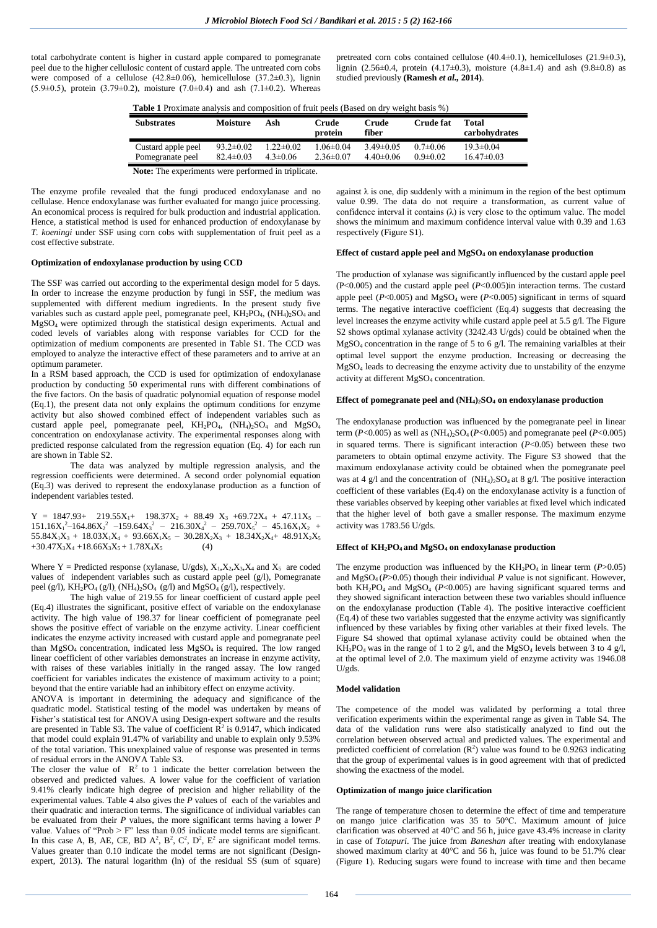total carbohydrate content is higher in custard apple compared to pomegranate peel due to the higher cellulosic content of custard apple. The untreated corn cobs were composed of a cellulose  $(42.8\pm0.06)$ , hemicellulose  $(37.2\pm0.3)$ , lignin (5.9 $\pm$ 0.5), protein (3.79 $\pm$ 0.2), moisture (7.0 $\pm$ 0.4) and ash (7.1 $\pm$ 0.2). Whereas

pretreated corn cobs contained cellulose  $(40.4\pm0.1)$ , hemicelluloses  $(21.9\pm0.3)$ , lignin (2.56±0.4, protein (4.17±0.3), moisture (4.8±1.4) and ash (9.8±0.8) as studied previously **(Ramesh** *et al.,* **2014)**.

| <b>Table 1</b> Proximate analysis and composition of fruit peels (Based on dry weight basis %) |  |  |  |
|------------------------------------------------------------------------------------------------|--|--|--|
|------------------------------------------------------------------------------------------------|--|--|--|

| Substrates         | Moisture        | Ash             | Crude<br>protein | Crude<br>fiber | <b>Crude fat</b> | Total<br>carbohydrates |
|--------------------|-----------------|-----------------|------------------|----------------|------------------|------------------------|
| Custard apple peel | $93.2 \pm 0.02$ | $1.22 \pm 0.02$ | $1.06 \pm 0.04$  | $3.49\pm0.05$  | $0.7 \pm 0.06$   | $19.3 \pm 0.04$        |
| Pomegranate peel   | $82.4 \pm 0.03$ | $4.3 \pm 0.06$  | $2.36\pm0.07$    | $440\pm0.06$   | $0.9 \pm 0.02$   | $16.47\pm0.03$         |

**Note:** The experiments were performed in triplicate.

The enzyme profile revealed that the fungi produced endoxylanase and no cellulase. Hence endoxylanase was further evaluated for mango juice processing. An economical process is required for bulk production and industrial application. Hence, a statistical method is used for enhanced production of endoxylanase by *T. koeningi* under SSF using corn cobs with supplementation of fruit peel as a cost effective substrate.

#### **Optimization of endoxylanase production by using CCD**

The SSF was carried out according to the experimental design model for 5 days. In order to increase the enzyme production by fungi in SSF, the medium was supplemented with different medium ingredients. In the present study five variables such as custard apple peel, pomegranate peel,  $KH_2PO_4$ ,  $(NH_4)_2SO_4$  and MgSO4 were optimized through the statistical design experiments. Actual and coded levels of variables along with response variables for CCD for the optimization of medium components are presented in Table S1. The CCD was employed to analyze the interactive effect of these parameters and to arrive at an optimum parameter.

In a RSM based approach, the CCD is used for optimization of endoxylanase production by conducting 50 experimental runs with different combinations of the five factors. On the basis of quadratic polynomial equation of response model (Eq.1), the present data not only explains the optimum conditions for enzyme activity but also showed combined effect of independent variables such as custard apple peel, pomegranate peel,  $KH_2PO_4$ ,  $(NH_4)_2SO_4$  and  $MgSO_4$ concentration on endoxylanase activity. The experimental responses along with predicted response calculated from the regression equation (Eq. 4) for each run are shown in Table S2.

The data was analyzed by multiple regression analysis, and the regression coefficients were determined. A second order polynomial equation (Eq.3) was derived to represent the endoxylanase production as a function of independent variables tested.

 $Y = 1847.93 + 219.55X_1 + 198.37X_2 + 88.49X_3 + 69.72X_4 + 47.11X_5$  $151.16X_1^2 - 164.86X_2^2 - 159.64X_3^2 - 216.30X_4^2 - 259.70X_5^2 - 45.16X_1X_2 +$  $55.84X_1X_3 + 18.03X_1X_4 + 93.66X_1X_5 - 30.28X_2X_3 + 18.34X_2X_4 + 48.91X_2X_5$  $+30.47X_3X_4 +18.66X_3X_5 + 1.78X_4X_5$  (4)

Where Y = Predicted response (xylanase, U/gds),  $X_1, X_2, X_3, X_4$  and  $X_5$  are coded values of independent variables such as custard apple peel (g/l), Pomegranate peel (g/l),  $KH_2PO_4$  (g/l),  $(NH_4)_2SO_4$  (g/l) and  $MgSO_4$  (g/l), respectively.

The high value of 219.55 for linear coefficient of custard apple peel (Eq.4) illustrates the significant, positive effect of variable on the endoxylanase activity. The high value of 198.37 for linear coefficient of pomegranate peel shows the positive effect of variable on the enzyme activity. Linear coefficient indicates the enzyme activity increased with custard apple and pomegranate peel than MgSO4 concentration, indicated less MgSO4 is required. The low ranged linear coefficient of other variables demonstrates an increase in enzyme activity, with raises of these variables initially in the ranged assay. The low ranged coefficient for variables indicates the existence of maximum activity to a point; beyond that the entire variable had an inhibitory effect on enzyme activity.

ANOVA is important in determining the adequacy and significance of the quadratic model. Statistical testing of the model was undertaken by means of Fisher's statistical test for ANOVA using Design-expert software and the results are presented in Table S3. The value of coefficient  $\mathbb{R}^2$  is 0.9147, which indicated that model could explain 91.47% of variability and unable to explain only 9.53% of the total variation. This unexplained value of response was presented in terms of residual errors in the ANOVA Table S3.

The closer the value of  $\mathbb{R}^2$  to 1 indicate the better correlation between the observed and predicted values. A lower value for the coefficient of variation 9.41% clearly indicate high degree of precision and higher reliability of the experimental values. Table 4 also gives the *P* values of each of the variables and their quadratic and interaction terms. The significance of individual variables can be evaluated from their *P* values, the more significant terms having a lower *P* value. Values of "Prob  $> F$ " less than 0.05 indicate model terms are significant. In this case A, B, AE, CE, BD  $A^2$ ,  $B^2$ ,  $C^2$ ,  $D^2$ ,  $E^2$  are significant model terms. Values greater than 0.10 indicate the model terms are not significant (Designexpert, 2013). The natural logarithm (ln) of the residual  $SS$  (sum of square)

against  $\lambda$  is one, dip suddenly with a minimum in the region of the best optimum value 0.99. The data do not require a transformation, as current value of confidence interval it contains  $(\lambda)$  is very close to the optimum value. The model shows the minimum and maximum confidence interval value with 0.39 and 1.63 respectively (Figure S1).

# **Effect of custard apple peel and MgSO<sup>4</sup> on endoxylanase production**

The production of xylanase was significantly influenced by the custard apple peel (P<0.005) and the custard apple peel (*P*<0.005)in interaction terms. The custard apple peel  $(P<0.005)$  and MgSO<sub>4</sub> were  $(P<0.005)$  significant in terms of squard terms. The negative interactive coefficient (Eq.4) suggests that decreasing the level increases the enzyme activity while custard apple peel at 5.5 g/l. The Figure S2 shows optimal xylanase activity (3242.43 U/gds) could be obtained when the MgSO<sup>4</sup> concentration in the range of 5 to 6 g/l. The remaining varialbles at their optimal level support the enzyme production. Increasing or decreasing the MgSO<sup>4</sup> leads to decreasing the enzyme activity due to unstability of the enzyme activity at different MgSO<sub>4</sub> concentration.

# **Effect of pomegranate peel and (NH4)2SO<sup>4</sup> on endoxylanase production**

The endoxylanase production was influenced by the pomegranate peel in linear term ( $P < 0.005$ ) as well as ( $NH<sub>4</sub>$ )<sub>2</sub>SO<sub>4</sub> ( $P < 0.005$ ) and pomegranate peel ( $P < 0.005$ ) in squared terms. There is significant interaction (*P*<0.05) between these two parameters to obtain optimal enzyme activity. The Figure S3 showed that the maximum endoxylanase activity could be obtained when the pomegranate peel was at 4 g/l and the concentration of  $(NH_4)_{2}SO_4$  at 8 g/l. The positive interaction coefficient of these variables (Eq.4) on the endoxylanase activity is a function of these variables observed by keeping other variables at fixed level which indicated that the higher level of both gave a smaller response. The maximum enzyme activity was 1783.56 U/gds.

# **Effect of KH2PO4 and MgSO<sup>4</sup> on endoxylanase production**

The enzyme production was influenced by the  $KH_2PO_4$  in linear term ( $P > 0.05$ ) and  $MgSO_4$  ( $P>0.05$ ) though their individual  $P$  value is not significant. However, both  $KH_2PO_4$  and  $MgSO_4$  ( $P<0.005$ ) are having significant squared terms and they showed significant interaction between these two variables should influence on the endoxylanase production (Table 4). The positive interactive coefficient (Eq.4) of these two variables suggested that the enzyme activity was significantly influenced by these variables by fixing other variables at their fixed levels. The Figure S4 showed that optimal xylanase activity could be obtained when the  $KH_2PO_4$  was in the range of 1 to 2 g/l, and the MgSO<sub>4</sub> levels between 3 to 4 g/l, at the optimal level of 2.0. The maximum yield of enzyme activity was 1946.08 U/gds.

#### **Model validation**

The competence of the model was validated by performing a total three verification experiments within the experimental range as given in Table S4. The data of the validation runs were also statistically analyzed to find out the correlation between observed actual and predicted values. The experimental and predicted coefficient of correlation  $(R^2)$  value was found to be 0.9263 indicating that the group of experimental values is in good agreement with that of predicted showing the exactness of the model.

## **Optimization of mango juice clarification**

The range of temperature chosen to determine the effect of time and temperature on mango juice clarification was 35 to 50°C. Maximum amount of juice clarification was observed at 40°C and 56 h, juice gave 43.4% increase in clarity in case of *Totapuri*. The juice from *Baneshan* after treating with endoxylanase showed maximum clarity at 40°C and 56 h, juice was found to be 51.7% clear (Figure 1). Reducing sugars were found to increase with time and then became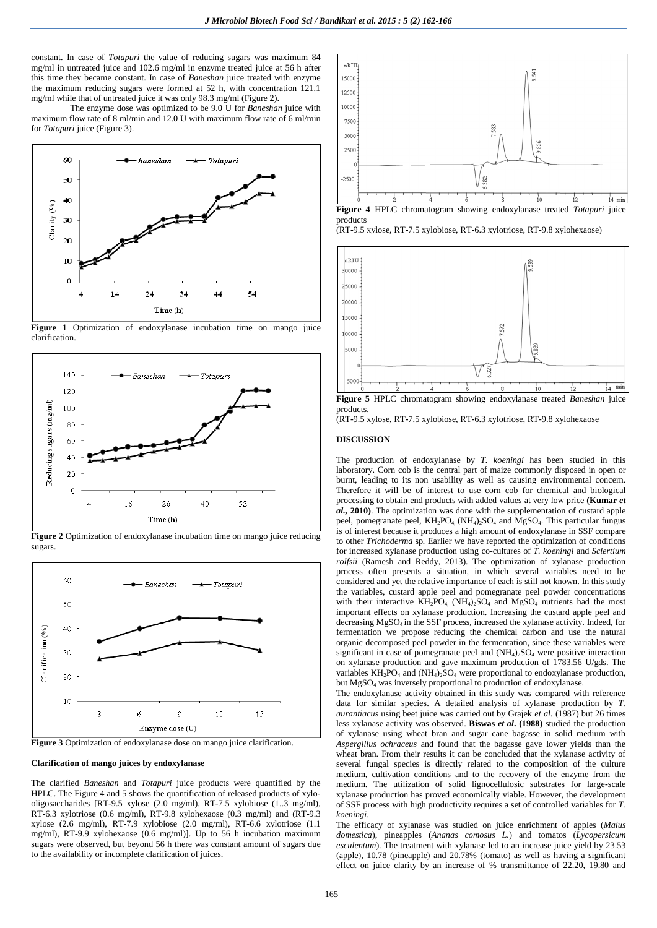constant. In case of *Totapuri* the value of reducing sugars was maximum 84 mg/ml in untreated juice and 102.6 mg/ml in enzyme treated juice at 56 h after this time they became constant. In case of *Baneshan* juice treated with enzyme the maximum reducing sugars were formed at 52 h, with concentration 121.1 mg/ml while that of untreated juice it was only 98.3 mg/ml (Figure 2).

The enzyme dose was optimized to be 9.0 U for *Baneshan* juice with maximum flow rate of 8 ml/min and 12.0 U with maximum flow rate of 6 ml/min for *Totapuri* juice (Figure 3).



**Figure 1** Optimization of endoxylanase incubation time on mango juice clarification.



**Figure 2** Optimization of endoxylanase incubation time on mango juice reducing sugars.



**Figure 3** Optimization of endoxylanase dose on mango juice clarification.

#### **Clarification of mango juices by endoxylanase**

The clarified *Baneshan* and *Totapuri* juice products were quantified by the HPLC. The Figure 4 and 5 shows the quantification of released products of xylooligosaccharides [RT**-**9.5 xylose (2.0 mg/ml), RT**-**7.5 xylobiose (1..3 mg/ml), RT**-**6.3 xylotriose (0.6 mg/ml), RT**-**9.8 xylohexaose (0.3 mg/ml) and (RT**-**9.3 xylose (2.6 mg/ml), RT**-**7.9 xylobiose (2.0 mg/ml), RT**-**6.6 xylotriose (1.1 mg/ml), RT**-**9.9 xylohexaose (0.6 mg/ml)]. Up to 56 h incubation maximum sugars were observed, but beyond 56 h there was constant amount of sugars due to the availability or incomplete clarification of juices.



products (RT**-**9.5 xylose, RT**-**7.5 xylobiose, RT**-**6.3 xylotriose, RT**-**9.8 xylohexaose)





**Figure 5** HPLC chromatogram showing endoxylanase treated *Baneshan* juice products.

(RT**-**9.5 xylose, RT**-**7.5 xylobiose, RT**-**6.3 xylotriose, RT**-**9.8 xylohexaose

# **DISCUSSION**

The production of endoxylanase by *T. koeningi* has been studied in this laboratory. Corn cob is the central part of maize commonly disposed in open or burnt, leading to its non usability as well as causing environmental concern. Therefore it will be of interest to use corn cob for chemical and biological processing to obtain end products with added values at very low price **(Kumar** *et al.,* **2010)**. The optimization was done with the supplementation of custard apple peel, pomegranate peel,  $KH_2PO_4$ ,  $(NH_4)_2SO_4$  and  $MgSO_4$ . This particular fungus is of interest because it produces a high amount of endoxylanase in SSF compare to other *Trichoderma* sp*.* Earlier we have reported the optimization of conditions for increased xylanase production using co-cultures of *T. koeningi* and *Sclertium rolfsii* (Ramesh and Reddy, 2013). The optimization of xylanase production process often presents a situation, in which several variables need to be considered and yet the relative importance of each is still not known. In this study the variables, custard apple peel and pomegranate peel powder concentrations with their interactive KH<sub>2</sub>PO<sub>4</sub>, (NH<sub>4</sub>)<sub>2</sub>SO<sub>4</sub> and MgSO<sub>4</sub> nutrients had the most important effects on xylanase production. Increasing the custard apple peel and decreasing MgSO<sub>4</sub> in the SSF process, increased the xylanase activity. Indeed, for fermentation we propose reducing the chemical carbon and use the natural organic decomposed peel powder in the fermentation, since these variables were significant in case of pomegranate peel and  $(NH<sub>4</sub>)<sub>2</sub>SO<sub>4</sub>$  were positive interaction on xylanase production and gave maximum production of 1783.56 U/gds. The variables  $KH_2PO_4$  and  $(NH_4)_2SO_4$  were proportional to endoxylanase production, but MgSO<sup>4</sup> was inversely proportional to production of endoxylanase.

The endoxylanase activity obtained in this study was compared with reference data for similar species. A detailed analysis of xylanase production by *T. aurantiacus* using beet juice was carried out by Grajek *et al.* (1987) but 26 times less xylanase activity was observed. **Biswas** *et al***. (1988)** studied the production of xylanase using wheat bran and sugar cane bagasse in solid medium with *Aspergillus ochraceus* and found that the bagasse gave lower yields than the wheat bran. From their results it can be concluded that the xylanase activity of several fungal species is directly related to the composition of the culture medium, cultivation conditions and to the recovery of the enzyme from the medium. The utilization of solid lignocellulosic substrates for large**-**scale xylanase production has proved economically viable. However, the development of SSF process with high productivity requires a set of controlled variables for *T. koeningi*.

The efficacy of xylanase was studied on juice enrichment of apples (*Malus domestica*), pineapples (*Ananas comosus L.*) and tomatos (*Lycopersicum esculentum*). The treatment with xylanase led to an increase juice yield by 23.53 (apple), 10.78 (pineapple) and 20.78% (tomato) as well as having a significant effect on juice clarity by an increase of % transmittance of 22.20, 19.80 and